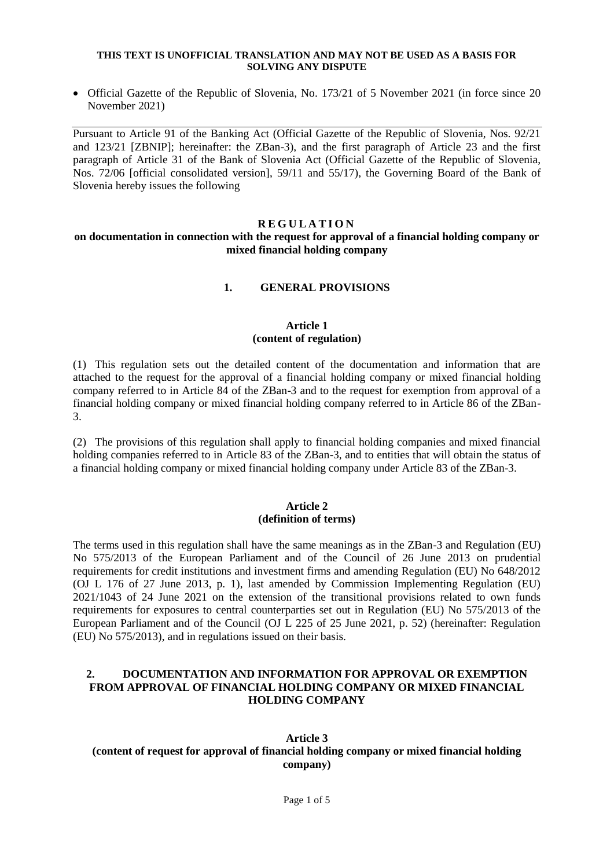#### **THIS TEXT IS UNOFFICIAL TRANSLATION AND MAY NOT BE USED AS A BASIS FOR SOLVING ANY DISPUTE**

 Official Gazette of the Republic of Slovenia, No. 173/21 of 5 November 2021 (in force since 20 November 2021)

Pursuant to Article 91 of the Banking Act (Official Gazette of the Republic of Slovenia, Nos. 92/21 and 123/21 [ZBNIP]; hereinafter: the ZBan-3), and the first paragraph of Article 23 and the first paragraph of Article 31 of the Bank of Slovenia Act (Official Gazette of the Republic of Slovenia, Nos. 72/06 [official consolidated version], 59/11 and 55/17), the Governing Board of the Bank of Slovenia hereby issues the following

## **R E G U L A T I O N**

## **on documentation in connection with the request for approval of a financial holding company or mixed financial holding company**

## **1. GENERAL PROVISIONS**

## **Article 1 (content of regulation)**

(1) This regulation sets out the detailed content of the documentation and information that are attached to the request for the approval of a financial holding company or mixed financial holding company referred to in Article 84 of the ZBan-3 and to the request for exemption from approval of a financial holding company or mixed financial holding company referred to in Article 86 of the ZBan-3.

(2) The provisions of this regulation shall apply to financial holding companies and mixed financial holding companies referred to in Article 83 of the ZBan-3, and to entities that will obtain the status of a financial holding company or mixed financial holding company under Article 83 of the ZBan-3.

## **Article 2 (definition of terms)**

The terms used in this regulation shall have the same meanings as in the ZBan-3 and Regulation (EU) No 575/2013 of the European Parliament and of the Council of 26 June 2013 on prudential requirements for credit institutions and investment firms and amending Regulation (EU) No 648/2012 (OJ L 176 of 27 June 2013, p. 1), last amended by Commission Implementing Regulation (EU) 2021/1043 of 24 June 2021 on the extension of the transitional provisions related to own funds requirements for exposures to central counterparties set out in Regulation (EU) No 575/2013 of the European Parliament and of the Council (OJ L 225 of 25 June 2021, p. 52) (hereinafter: Regulation (EU) No 575/2013), and in regulations issued on their basis.

## **2. DOCUMENTATION AND INFORMATION FOR APPROVAL OR EXEMPTION FROM APPROVAL OF FINANCIAL HOLDING COMPANY OR MIXED FINANCIAL HOLDING COMPANY**

# **Article 3 (content of request for approval of financial holding company or mixed financial holding company)**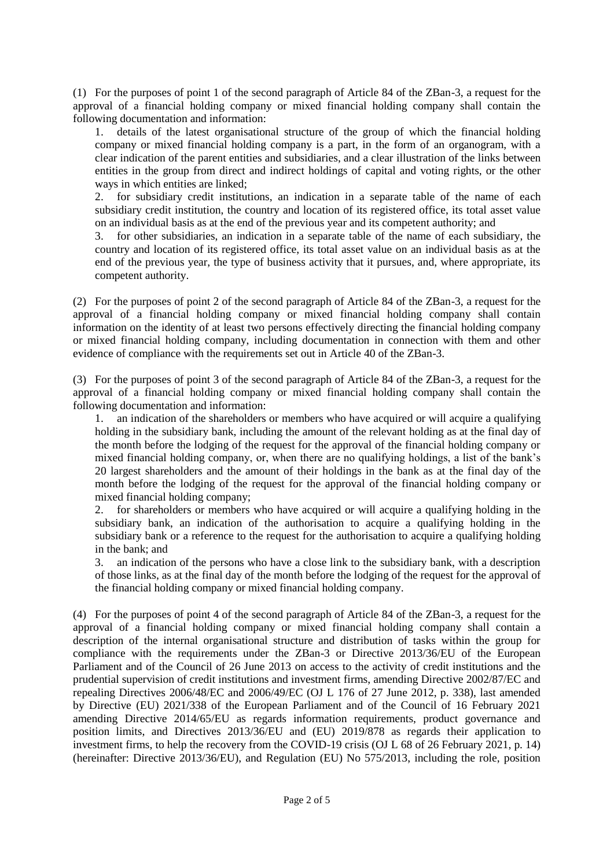(1) For the purposes of point 1 of the second paragraph of Article 84 of the ZBan-3, a request for the approval of a financial holding company or mixed financial holding company shall contain the following documentation and information:

1. details of the latest organisational structure of the group of which the financial holding company or mixed financial holding company is a part, in the form of an organogram, with a clear indication of the parent entities and subsidiaries, and a clear illustration of the links between entities in the group from direct and indirect holdings of capital and voting rights, or the other ways in which entities are linked;

2. for subsidiary credit institutions, an indication in a separate table of the name of each subsidiary credit institution, the country and location of its registered office, its total asset value on an individual basis as at the end of the previous year and its competent authority; and

3. for other subsidiaries, an indication in a separate table of the name of each subsidiary, the country and location of its registered office, its total asset value on an individual basis as at the end of the previous year, the type of business activity that it pursues, and, where appropriate, its competent authority.

(2) For the purposes of point 2 of the second paragraph of Article 84 of the ZBan-3, a request for the approval of a financial holding company or mixed financial holding company shall contain information on the identity of at least two persons effectively directing the financial holding company or mixed financial holding company, including documentation in connection with them and other evidence of compliance with the requirements set out in Article 40 of the ZBan-3.

(3) For the purposes of point 3 of the second paragraph of Article 84 of the ZBan-3, a request for the approval of a financial holding company or mixed financial holding company shall contain the following documentation and information:

1. an indication of the shareholders or members who have acquired or will acquire a qualifying holding in the subsidiary bank, including the amount of the relevant holding as at the final day of the month before the lodging of the request for the approval of the financial holding company or mixed financial holding company, or, when there are no qualifying holdings, a list of the bank's 20 largest shareholders and the amount of their holdings in the bank as at the final day of the month before the lodging of the request for the approval of the financial holding company or mixed financial holding company;

2. for shareholders or members who have acquired or will acquire a qualifying holding in the subsidiary bank, an indication of the authorisation to acquire a qualifying holding in the subsidiary bank or a reference to the request for the authorisation to acquire a qualifying holding in the bank; and

3. an indication of the persons who have a close link to the subsidiary bank, with a description of those links, as at the final day of the month before the lodging of the request for the approval of the financial holding company or mixed financial holding company.

(4) For the purposes of point 4 of the second paragraph of Article 84 of the ZBan-3, a request for the approval of a financial holding company or mixed financial holding company shall contain a description of the internal organisational structure and distribution of tasks within the group for compliance with the requirements under the ZBan-3 or Directive 2013/36/EU of the European Parliament and of the Council of 26 June 2013 on access to the activity of credit institutions and the prudential supervision of credit institutions and investment firms, amending Directive 2002/87/EC and repealing Directives 2006/48/EC and 2006/49/EC (OJ L 176 of 27 June 2012, p. 338), last amended by Directive (EU) 2021/338 of the European Parliament and of the Council of 16 February 2021 amending Directive 2014/65/EU as regards information requirements, product governance and position limits, and Directives 2013/36/EU and (EU) 2019/878 as regards their application to investment firms, to help the recovery from the COVID-19 crisis (OJ L 68 of 26 February 2021, p. 14) (hereinafter: Directive 2013/36/EU), and Regulation (EU) No 575/2013, including the role, position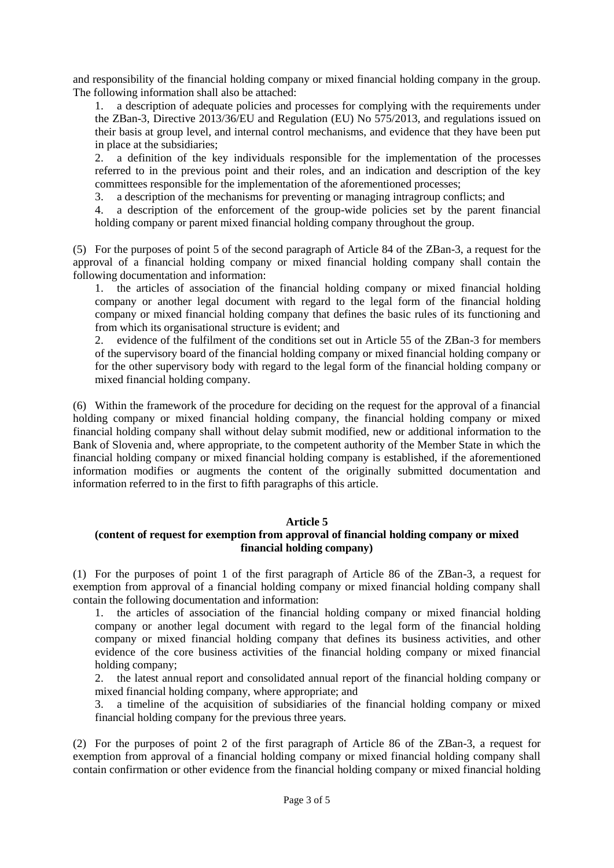and responsibility of the financial holding company or mixed financial holding company in the group. The following information shall also be attached:

1. a description of adequate policies and processes for complying with the requirements under the ZBan-3, Directive 2013/36/EU and Regulation (EU) No 575/2013, and regulations issued on their basis at group level, and internal control mechanisms, and evidence that they have been put in place at the subsidiaries;

2. a definition of the key individuals responsible for the implementation of the processes referred to in the previous point and their roles, and an indication and description of the key committees responsible for the implementation of the aforementioned processes;

3. a description of the mechanisms for preventing or managing intragroup conflicts; and

4. a description of the enforcement of the group-wide policies set by the parent financial holding company or parent mixed financial holding company throughout the group.

(5) For the purposes of point 5 of the second paragraph of Article 84 of the ZBan-3, a request for the approval of a financial holding company or mixed financial holding company shall contain the following documentation and information:

1. the articles of association of the financial holding company or mixed financial holding company or another legal document with regard to the legal form of the financial holding company or mixed financial holding company that defines the basic rules of its functioning and from which its organisational structure is evident; and

2. evidence of the fulfilment of the conditions set out in Article 55 of the ZBan-3 for members of the supervisory board of the financial holding company or mixed financial holding company or for the other supervisory body with regard to the legal form of the financial holding company or mixed financial holding company.

(6) Within the framework of the procedure for deciding on the request for the approval of a financial holding company or mixed financial holding company, the financial holding company or mixed financial holding company shall without delay submit modified, new or additional information to the Bank of Slovenia and, where appropriate, to the competent authority of the Member State in which the financial holding company or mixed financial holding company is established, if the aforementioned information modifies or augments the content of the originally submitted documentation and information referred to in the first to fifth paragraphs of this article.

## **Article 5**

## **(content of request for exemption from approval of financial holding company or mixed financial holding company)**

(1) For the purposes of point 1 of the first paragraph of Article 86 of the ZBan-3, a request for exemption from approval of a financial holding company or mixed financial holding company shall contain the following documentation and information:

1. the articles of association of the financial holding company or mixed financial holding company or another legal document with regard to the legal form of the financial holding company or mixed financial holding company that defines its business activities, and other evidence of the core business activities of the financial holding company or mixed financial holding company;

2. the latest annual report and consolidated annual report of the financial holding company or mixed financial holding company, where appropriate; and

3. a timeline of the acquisition of subsidiaries of the financial holding company or mixed financial holding company for the previous three years.

(2) For the purposes of point 2 of the first paragraph of Article 86 of the ZBan-3, a request for exemption from approval of a financial holding company or mixed financial holding company shall contain confirmation or other evidence from the financial holding company or mixed financial holding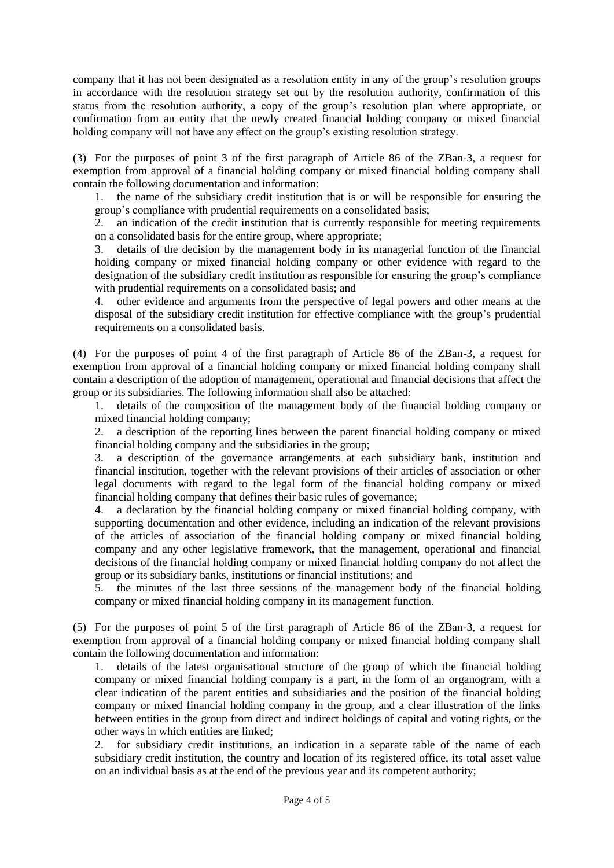company that it has not been designated as a resolution entity in any of the group's resolution groups in accordance with the resolution strategy set out by the resolution authority, confirmation of this status from the resolution authority, a copy of the group's resolution plan where appropriate, or confirmation from an entity that the newly created financial holding company or mixed financial holding company will not have any effect on the group's existing resolution strategy.

(3) For the purposes of point 3 of the first paragraph of Article 86 of the ZBan-3, a request for exemption from approval of a financial holding company or mixed financial holding company shall contain the following documentation and information:

1. the name of the subsidiary credit institution that is or will be responsible for ensuring the group's compliance with prudential requirements on a consolidated basis;

2. an indication of the credit institution that is currently responsible for meeting requirements on a consolidated basis for the entire group, where appropriate;

3. details of the decision by the management body in its managerial function of the financial holding company or mixed financial holding company or other evidence with regard to the designation of the subsidiary credit institution as responsible for ensuring the group's compliance with prudential requirements on a consolidated basis; and

4. other evidence and arguments from the perspective of legal powers and other means at the disposal of the subsidiary credit institution for effective compliance with the group's prudential requirements on a consolidated basis.

(4) For the purposes of point 4 of the first paragraph of Article 86 of the ZBan-3, a request for exemption from approval of a financial holding company or mixed financial holding company shall contain a description of the adoption of management, operational and financial decisions that affect the group or its subsidiaries. The following information shall also be attached:

1. details of the composition of the management body of the financial holding company or mixed financial holding company;

2. a description of the reporting lines between the parent financial holding company or mixed financial holding company and the subsidiaries in the group;

3. a description of the governance arrangements at each subsidiary bank, institution and financial institution, together with the relevant provisions of their articles of association or other legal documents with regard to the legal form of the financial holding company or mixed financial holding company that defines their basic rules of governance;

4. a declaration by the financial holding company or mixed financial holding company, with supporting documentation and other evidence, including an indication of the relevant provisions of the articles of association of the financial holding company or mixed financial holding company and any other legislative framework, that the management, operational and financial decisions of the financial holding company or mixed financial holding company do not affect the group or its subsidiary banks, institutions or financial institutions; and

5. the minutes of the last three sessions of the management body of the financial holding company or mixed financial holding company in its management function.

(5) For the purposes of point 5 of the first paragraph of Article 86 of the ZBan-3, a request for exemption from approval of a financial holding company or mixed financial holding company shall contain the following documentation and information:

1. details of the latest organisational structure of the group of which the financial holding company or mixed financial holding company is a part, in the form of an organogram, with a clear indication of the parent entities and subsidiaries and the position of the financial holding company or mixed financial holding company in the group, and a clear illustration of the links between entities in the group from direct and indirect holdings of capital and voting rights, or the other ways in which entities are linked;

2. for subsidiary credit institutions, an indication in a separate table of the name of each subsidiary credit institution, the country and location of its registered office, its total asset value on an individual basis as at the end of the previous year and its competent authority;